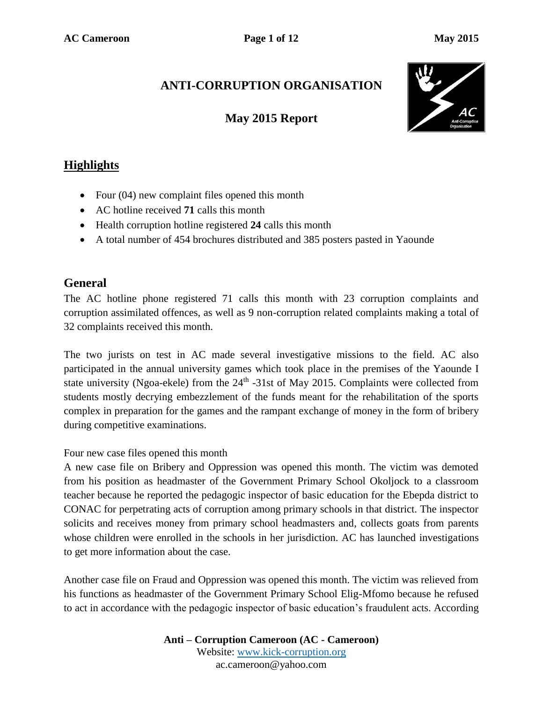# **ANTI-CORRUPTION ORGANISATION**

# **May 2015 Report**



# **Highlights**

- Four (04) new complaint files opened this month
- AC hotline received **71** calls this month
- Health corruption hotline registered **24** calls this month
- A total number of 454 brochures distributed and 385 posters pasted in Yaounde

### **General**

The AC hotline phone registered 71 calls this month with 23 corruption complaints and corruption assimilated offences, as well as 9 non-corruption related complaints making a total of 32 complaints received this month.

The two jurists on test in AC made several investigative missions to the field. AC also participated in the annual university games which took place in the premises of the Yaounde I state university (Ngoa-ekele) from the  $24<sup>th</sup>$  -31st of May 2015. Complaints were collected from students mostly decrying embezzlement of the funds meant for the rehabilitation of the sports complex in preparation for the games and the rampant exchange of money in the form of bribery during competitive examinations.

#### Four new case files opened this month

A new case file on Bribery and Oppression was opened this month. The victim was demoted from his position as headmaster of the Government Primary School Okoljock to a classroom teacher because he reported the pedagogic inspector of basic education for the Ebepda district to CONAC for perpetrating acts of corruption among primary schools in that district. The inspector solicits and receives money from primary school headmasters and, collects goats from parents whose children were enrolled in the schools in her jurisdiction. AC has launched investigations to get more information about the case.

Another case file on Fraud and Oppression was opened this month. The victim was relieved from his functions as headmaster of the Government Primary School Elig-Mfomo because he refused to act in accordance with the pedagogic inspector of basic education's fraudulent acts. According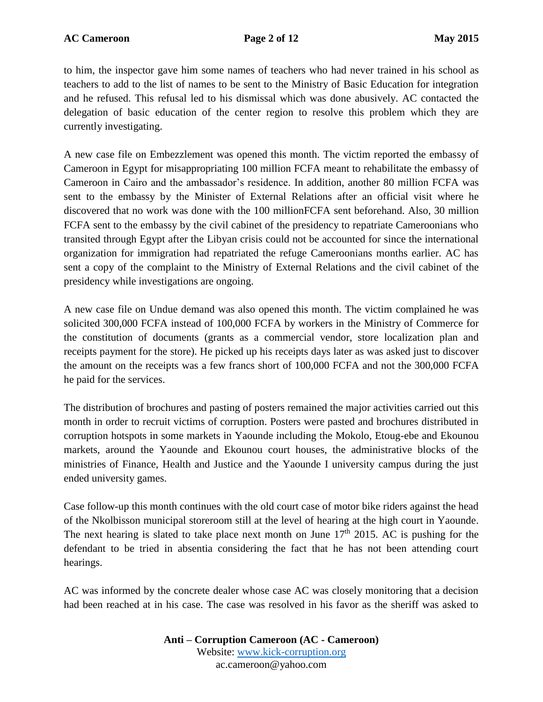to him, the inspector gave him some names of teachers who had never trained in his school as teachers to add to the list of names to be sent to the Ministry of Basic Education for integration and he refused. This refusal led to his dismissal which was done abusively. AC contacted the delegation of basic education of the center region to resolve this problem which they are currently investigating.

A new case file on Embezzlement was opened this month. The victim reported the embassy of Cameroon in Egypt for misappropriating 100 million FCFA meant to rehabilitate the embassy of Cameroon in Cairo and the ambassador's residence. In addition, another 80 million FCFA was sent to the embassy by the Minister of External Relations after an official visit where he discovered that no work was done with the 100 millionFCFA sent beforehand. Also, 30 million FCFA sent to the embassy by the civil cabinet of the presidency to repatriate Cameroonians who transited through Egypt after the Libyan crisis could not be accounted for since the international organization for immigration had repatriated the refuge Cameroonians months earlier. AC has sent a copy of the complaint to the Ministry of External Relations and the civil cabinet of the presidency while investigations are ongoing.

A new case file on Undue demand was also opened this month. The victim complained he was solicited 300,000 FCFA instead of 100,000 FCFA by workers in the Ministry of Commerce for the constitution of documents (grants as a commercial vendor, store localization plan and receipts payment for the store). He picked up his receipts days later as was asked just to discover the amount on the receipts was a few francs short of 100,000 FCFA and not the 300,000 FCFA he paid for the services.

The distribution of brochures and pasting of posters remained the major activities carried out this month in order to recruit victims of corruption. Posters were pasted and brochures distributed in corruption hotspots in some markets in Yaounde including the Mokolo, Etoug-ebe and Ekounou markets, around the Yaounde and Ekounou court houses, the administrative blocks of the ministries of Finance, Health and Justice and the Yaounde I university campus during the just ended university games.

Case follow-up this month continues with the old court case of motor bike riders against the head of the Nkolbisson municipal storeroom still at the level of hearing at the high court in Yaounde. The next hearing is slated to take place next month on June  $17<sup>th</sup>$  2015. AC is pushing for the defendant to be tried in absentia considering the fact that he has not been attending court hearings.

AC was informed by the concrete dealer whose case AC was closely monitoring that a decision had been reached at in his case. The case was resolved in his favor as the sheriff was asked to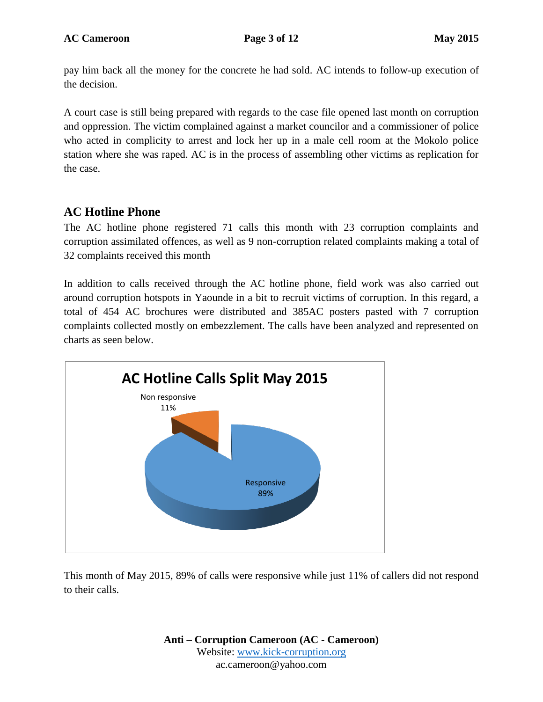pay him back all the money for the concrete he had sold. AC intends to follow-up execution of the decision.

A court case is still being prepared with regards to the case file opened last month on corruption and oppression. The victim complained against a market councilor and a commissioner of police who acted in complicity to arrest and lock her up in a male cell room at the Mokolo police station where she was raped. AC is in the process of assembling other victims as replication for the case.

## **AC Hotline Phone**

The AC hotline phone registered 71 calls this month with 23 corruption complaints and corruption assimilated offences, as well as 9 non-corruption related complaints making a total of 32 complaints received this month

In addition to calls received through the AC hotline phone, field work was also carried out around corruption hotspots in Yaounde in a bit to recruit victims of corruption. In this regard, a total of 454 AC brochures were distributed and 385AC posters pasted with 7 corruption complaints collected mostly on embezzlement. The calls have been analyzed and represented on charts as seen below.



This month of May 2015, 89% of calls were responsive while just 11% of callers did not respond to their calls.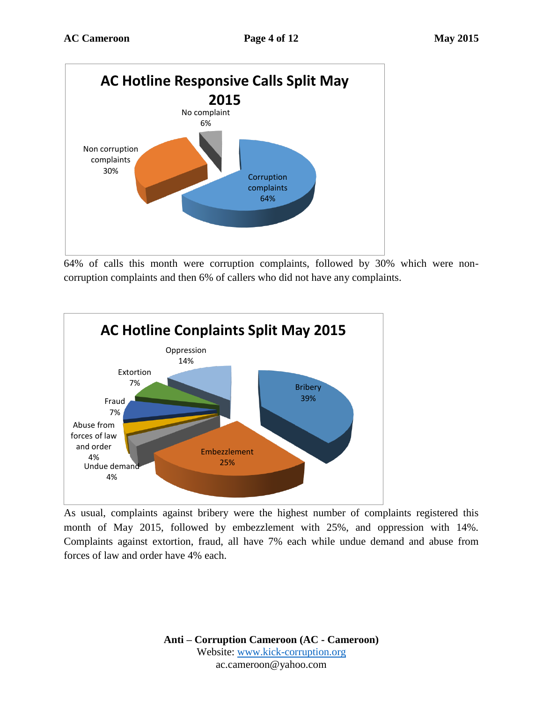

64% of calls this month were corruption complaints, followed by 30% which were noncorruption complaints and then 6% of callers who did not have any complaints.



As usual, complaints against bribery were the highest number of complaints registered this month of May 2015, followed by embezzlement with 25%, and oppression with 14%. Complaints against extortion, fraud, all have 7% each while undue demand and abuse from forces of law and order have 4% each.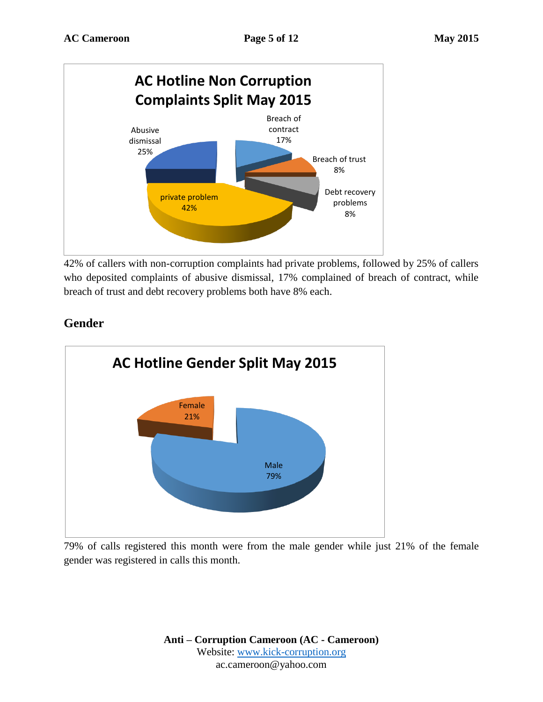

42% of callers with non-corruption complaints had private problems, followed by 25% of callers who deposited complaints of abusive dismissal, 17% complained of breach of contract, while breach of trust and debt recovery problems both have 8% each.



# **Gender**

79% of calls registered this month were from the male gender while just 21% of the female gender was registered in calls this month.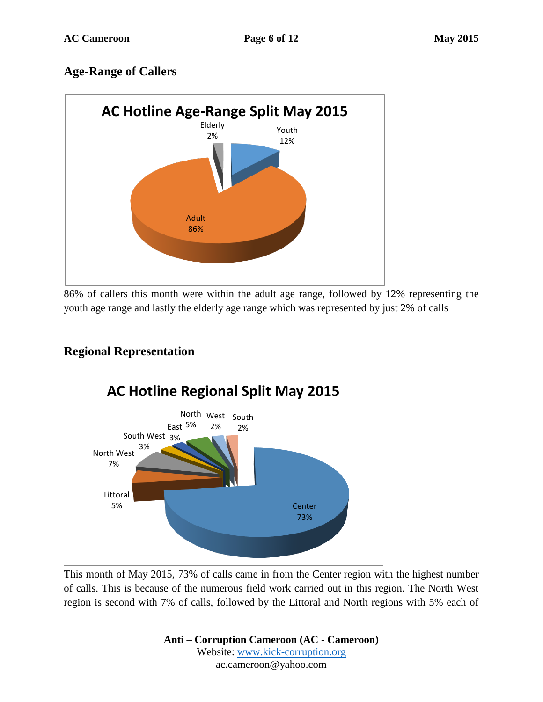## **Age-Range of Callers**



86% of callers this month were within the adult age range, followed by 12% representing the youth age range and lastly the elderly age range which was represented by just 2% of calls

# **Center** 73% Littoral 5% North West 7% South West 3% 3% East 5% North West South 2% 2% **AC Hotline Regional Split May 2015**

## **Regional Representation**

This month of May 2015, 73% of calls came in from the Center region with the highest number of calls. This is because of the numerous field work carried out in this region. The North West region is second with 7% of calls, followed by the Littoral and North regions with 5% each of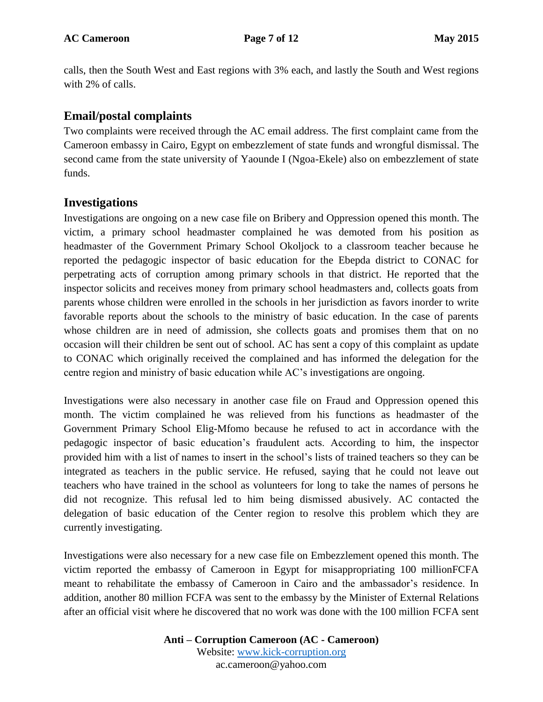calls, then the South West and East regions with 3% each, and lastly the South and West regions with 2% of calls.

#### **Email/postal complaints**

Two complaints were received through the AC email address. The first complaint came from the Cameroon embassy in Cairo, Egypt on embezzlement of state funds and wrongful dismissal. The second came from the state university of Yaounde I (Ngoa-Ekele) also on embezzlement of state funds.

#### **Investigations**

Investigations are ongoing on a new case file on Bribery and Oppression opened this month. The victim, a primary school headmaster complained he was demoted from his position as headmaster of the Government Primary School Okoljock to a classroom teacher because he reported the pedagogic inspector of basic education for the Ebepda district to CONAC for perpetrating acts of corruption among primary schools in that district. He reported that the inspector solicits and receives money from primary school headmasters and, collects goats from parents whose children were enrolled in the schools in her jurisdiction as favors inorder to write favorable reports about the schools to the ministry of basic education. In the case of parents whose children are in need of admission, she collects goats and promises them that on no occasion will their children be sent out of school. AC has sent a copy of this complaint as update to CONAC which originally received the complained and has informed the delegation for the centre region and ministry of basic education while AC's investigations are ongoing.

Investigations were also necessary in another case file on Fraud and Oppression opened this month. The victim complained he was relieved from his functions as headmaster of the Government Primary School Elig-Mfomo because he refused to act in accordance with the pedagogic inspector of basic education's fraudulent acts. According to him, the inspector provided him with a list of names to insert in the school's lists of trained teachers so they can be integrated as teachers in the public service. He refused, saying that he could not leave out teachers who have trained in the school as volunteers for long to take the names of persons he did not recognize. This refusal led to him being dismissed abusively. AC contacted the delegation of basic education of the Center region to resolve this problem which they are currently investigating.

Investigations were also necessary for a new case file on Embezzlement opened this month. The victim reported the embassy of Cameroon in Egypt for misappropriating 100 millionFCFA meant to rehabilitate the embassy of Cameroon in Cairo and the ambassador's residence. In addition, another 80 million FCFA was sent to the embassy by the Minister of External Relations after an official visit where he discovered that no work was done with the 100 million FCFA sent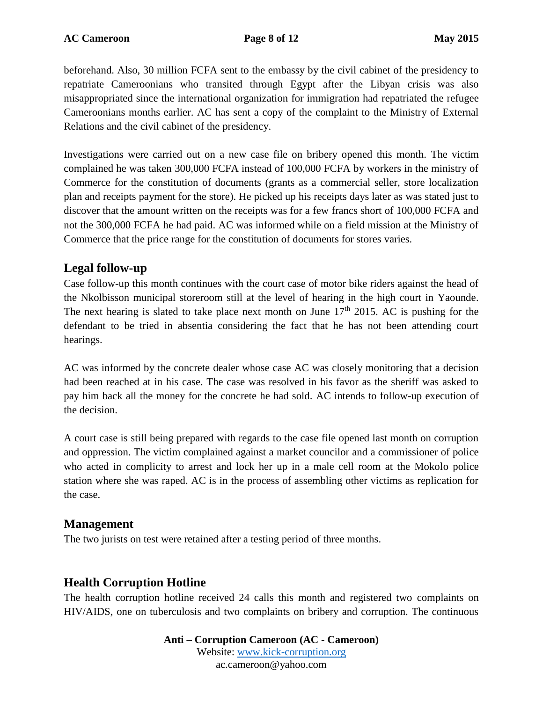beforehand. Also, 30 million FCFA sent to the embassy by the civil cabinet of the presidency to repatriate Cameroonians who transited through Egypt after the Libyan crisis was also misappropriated since the international organization for immigration had repatriated the refugee Cameroonians months earlier. AC has sent a copy of the complaint to the Ministry of External Relations and the civil cabinet of the presidency.

Investigations were carried out on a new case file on bribery opened this month. The victim complained he was taken 300,000 FCFA instead of 100,000 FCFA by workers in the ministry of Commerce for the constitution of documents (grants as a commercial seller, store localization plan and receipts payment for the store). He picked up his receipts days later as was stated just to discover that the amount written on the receipts was for a few francs short of 100,000 FCFA and not the 300,000 FCFA he had paid. AC was informed while on a field mission at the Ministry of Commerce that the price range for the constitution of documents for stores varies.

### **Legal follow-up**

Case follow-up this month continues with the court case of motor bike riders against the head of the Nkolbisson municipal storeroom still at the level of hearing in the high court in Yaounde. The next hearing is slated to take place next month on June  $17<sup>th</sup>$  2015. AC is pushing for the defendant to be tried in absentia considering the fact that he has not been attending court hearings.

AC was informed by the concrete dealer whose case AC was closely monitoring that a decision had been reached at in his case. The case was resolved in his favor as the sheriff was asked to pay him back all the money for the concrete he had sold. AC intends to follow-up execution of the decision.

A court case is still being prepared with regards to the case file opened last month on corruption and oppression. The victim complained against a market councilor and a commissioner of police who acted in complicity to arrest and lock her up in a male cell room at the Mokolo police station where she was raped. AC is in the process of assembling other victims as replication for the case.

## **Management**

The two jurists on test were retained after a testing period of three months.

## **Health Corruption Hotline**

The health corruption hotline received 24 calls this month and registered two complaints on HIV/AIDS, one on tuberculosis and two complaints on bribery and corruption. The continuous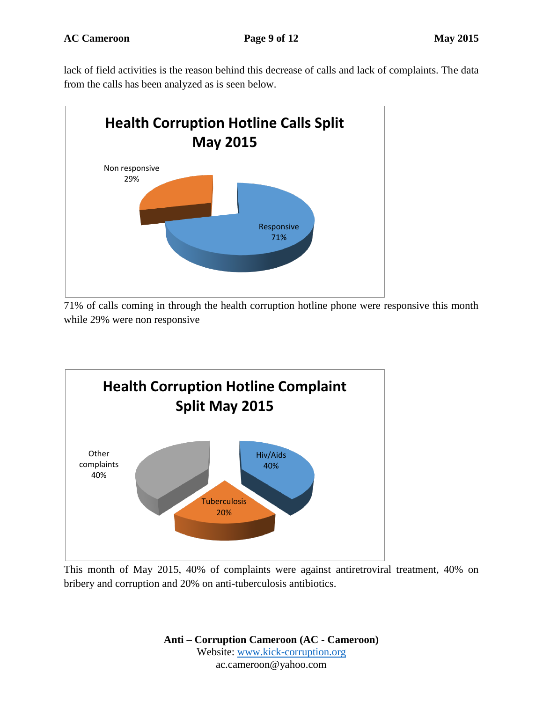lack of field activities is the reason behind this decrease of calls and lack of complaints. The data from the calls has been analyzed as is seen below.



71% of calls coming in through the health corruption hotline phone were responsive this month while 29% were non responsive



This month of May 2015, 40% of complaints were against antiretroviral treatment, 40% on bribery and corruption and 20% on anti-tuberculosis antibiotics.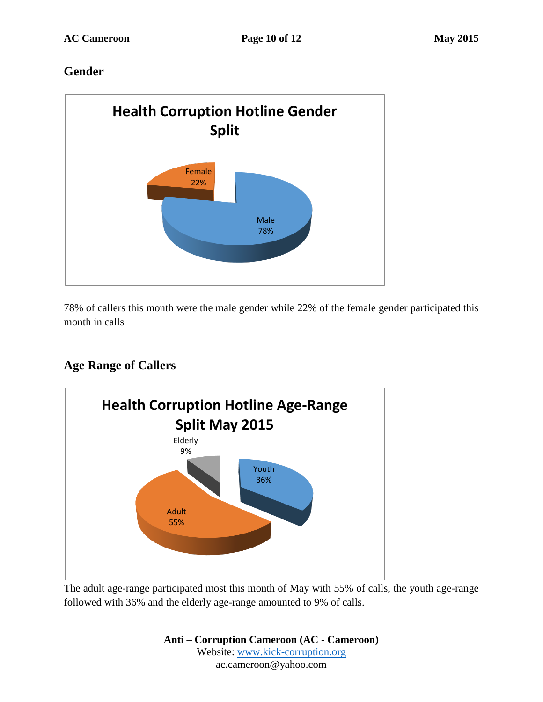## **Gender**



78% of callers this month were the male gender while 22% of the female gender participated this month in calls

# **Age Range of Callers**



The adult age-range participated most this month of May with 55% of calls, the youth age-range followed with 36% and the elderly age-range amounted to 9% of calls.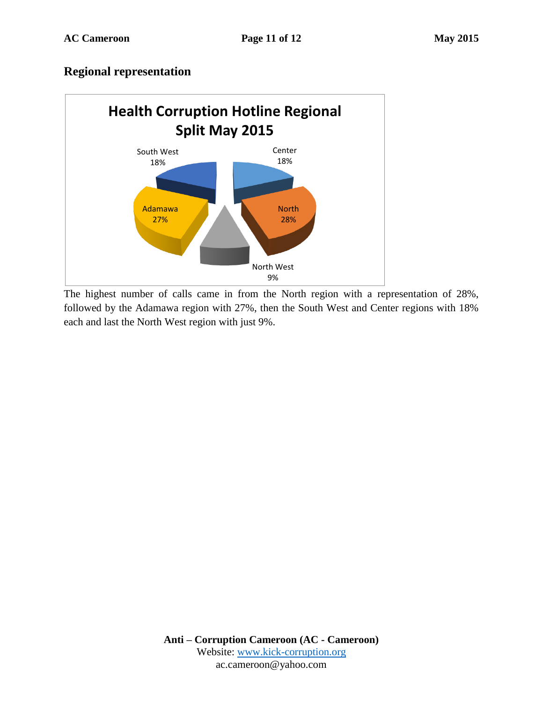#### **Regional representation**



The highest number of calls came in from the North region with a representation of 28%, followed by the Adamawa region with 27%, then the South West and Center regions with 18% each and last the North West region with just 9%.